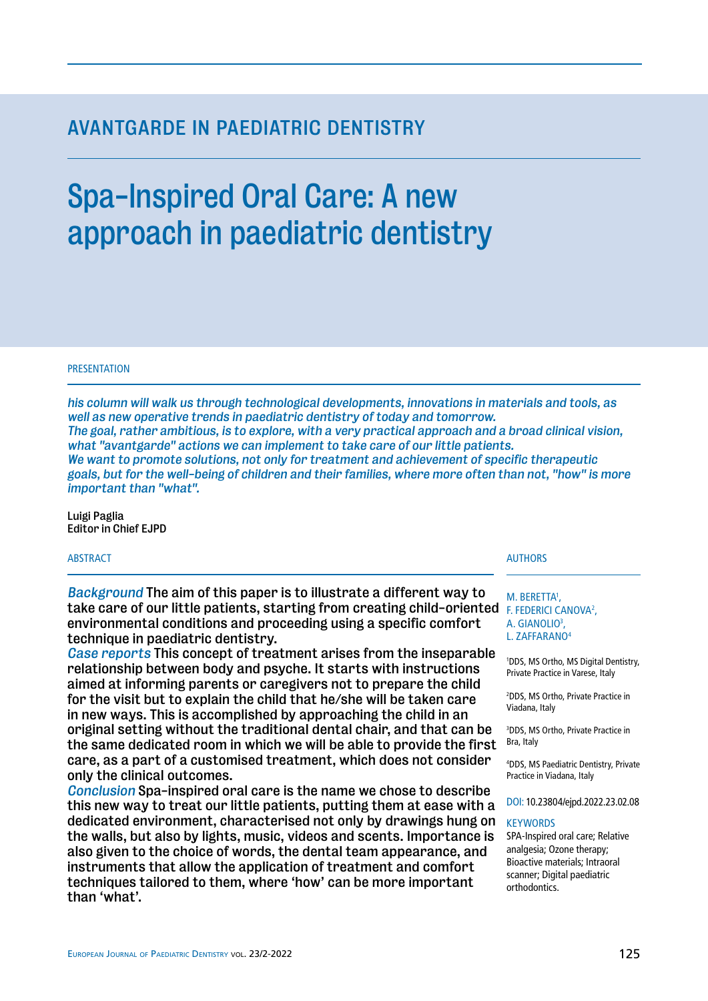## AVANTGARDE IN PAEDIATRIC DENTISTRY AVANTGARDE IN PAEDIATRIC DENTISTRY

# Spa-Inspired Oral Care: A new approach in paediatric dentistry

#### **PRESENTATION**

his column will walk us through technological developments, innovations in materials and tools, as well as new operative trends in paediatric dentistry of today and tomorrow. The goal, rather ambitious, is to explore, with a very practical approach and a broad clinical vision, what "avantgarde" actions we can implement to take care of our little patients. We want to promote solutions, not only for treatment and achievement of specific therapeutic goals, but for the well-being of children and their families, where more often than not, "how" is more important than "what".

Luigi Paglia Editor in Chief EJPD

#### ABSTRACT AUTHORS

Background The aim of this paper is to illustrate a different way to take care of our little patients, starting from creating child-oriented environmental conditions and proceeding using a specific comfort technique in paediatric dentistry.

Case reports This concept of treatment arises from the inseparable relationship between body and psyche. It starts with instructions aimed at informing parents or caregivers not to prepare the child for the visit but to explain the child that he/she will be taken care in new ways. This is accomplished by approaching the child in an original setting without the traditional dental chair, and that can be the same dedicated room in which we will be able to provide the first care, as a part of a customised treatment, which does not consider only the clinical outcomes.

Conclusion Spa-inspired oral care is the name we chose to describe this new way to treat our little patients, putting them at ease with a dedicated environment, characterised not only by drawings hung on the walls, but also by lights, music, videos and scents. Importance is also given to the choice of words, the dental team appearance, and instruments that allow the application of treatment and comfort techniques tailored to them, where 'how' can be more important than 'what'.

#### M. BERETTA<sup>1</sup>, F. FEDERICI CANOVA2 , A. GIANOLIO<sup>3</sup>, L. ZAFFARANO4

1 DDS, MS Ortho, MS Digital Dentistry, Private Practice in Varese, Italy

2 DDS, MS Ortho, Private Practice in Viadana, Italy

3 DDS, MS Ortho, Private Practice in Bra, Italy

4 DDS, MS Paediatric Dentistry, Private Practice in Viadana, Italy

DOI: 10.23804/ejpd.2022.23.02.08

#### **KEYWORDS**

SPA-Inspired oral care; Relative analgesia; Ozone therapy; Bioactive materials; Intraoral scanner; Digital paediatric orthodontics.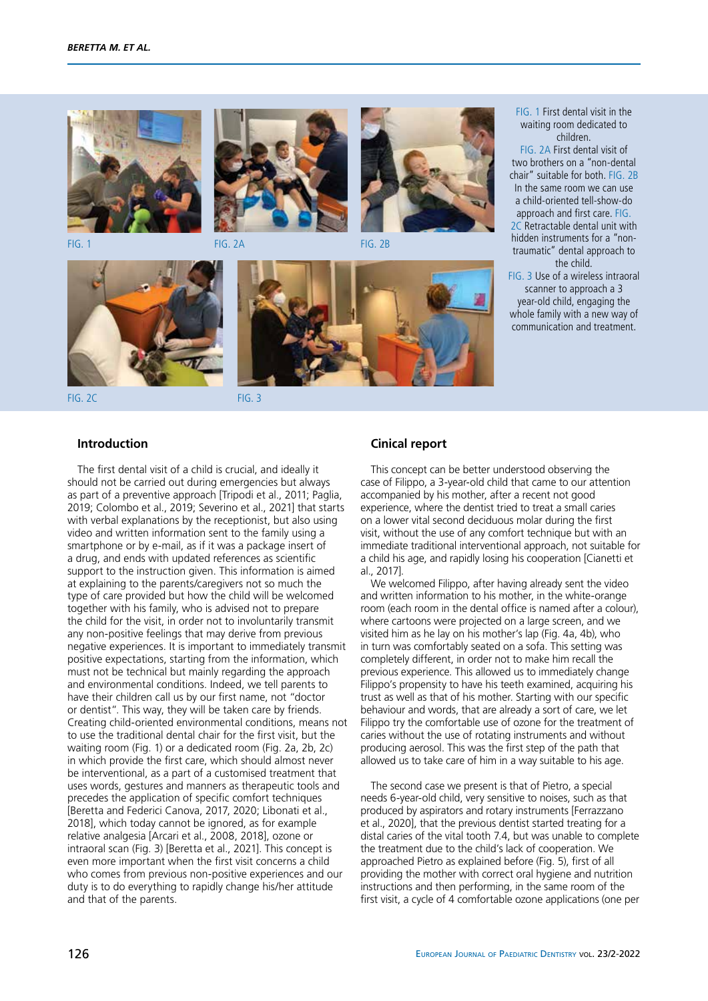

FIG. 1





FIG. 2B





 $FIG. 2C$  FIG. 3

FIG. 2A



#### FIG. 1 First dental visit in the waiting room dedicated to children.

FIG. 2A First dental visit of two brothers on a "non-dental chair" suitable for both. FIG. 2B In the same room we can use a child-oriented tell-show-do approach and first care. FIG. 2C Retractable dental unit with hidden instruments for a "nontraumatic" dental approach to the child. FIG. 3 Use of a wireless intraoral scanner to approach a 3

year-old child, engaging the whole family with a new way of communication and treatment.

#### **Introduction**

The first dental visit of a child is crucial, and ideally it should not be carried out during emergencies but always as part of a preventive approach [Tripodi et al., 2011; Paglia, 2019; Colombo et al., 2019; Severino et al., 2021] that starts with verbal explanations by the receptionist, but also using video and written information sent to the family using a smartphone or by e-mail, as if it was a package insert of a drug, and ends with updated references as scientific support to the instruction given. This information is aimed at explaining to the parents/caregivers not so much the type of care provided but how the child will be welcomed together with his family, who is advised not to prepare the child for the visit, in order not to involuntarily transmit any non-positive feelings that may derive from previous negative experiences. It is important to immediately transmit positive expectations, starting from the information, which must not be technical but mainly regarding the approach and environmental conditions. Indeed, we tell parents to have their children call us by our first name, not "doctor or dentist". This way, they will be taken care by friends. Creating child-oriented environmental conditions, means not to use the traditional dental chair for the first visit, but the waiting room (Fig. 1) or a dedicated room (Fig. 2a, 2b, 2c) in which provide the first care, which should almost never be interventional, as a part of a customised treatment that uses words, gestures and manners as therapeutic tools and precedes the application of specific comfort techniques [Beretta and Federici Canova, 2017, 2020; Libonati et al., 2018], which today cannot be ignored, as for example relative analgesia [Arcari et al., 2008, 2018], ozone or intraoral scan (Fig. 3) [Beretta et al., 2021]. This concept is even more important when the first visit concerns a child who comes from previous non-positive experiences and our duty is to do everything to rapidly change his/her attitude and that of the parents.

#### **Cinical report**

This concept can be better understood observing the case of Filippo, a 3-year-old child that came to our attention accompanied by his mother, after a recent not good experience, where the dentist tried to treat a small caries on a lower vital second deciduous molar during the first visit, without the use of any comfort technique but with an immediate traditional interventional approach, not suitable for a child his age, and rapidly losing his cooperation [Cianetti et al., 2017].

We welcomed Filippo, after having already sent the video and written information to his mother, in the white-orange room (each room in the dental office is named after a colour), where cartoons were projected on a large screen, and we visited him as he lay on his mother's lap (Fig. 4a, 4b), who in turn was comfortably seated on a sofa. This setting was completely different, in order not to make him recall the previous experience. This allowed us to immediately change Filippo's propensity to have his teeth examined, acquiring his trust as well as that of his mother. Starting with our specific behaviour and words, that are already a sort of care, we let Filippo try the comfortable use of ozone for the treatment of caries without the use of rotating instruments and without producing aerosol. This was the first step of the path that allowed us to take care of him in a way suitable to his age.

The second case we present is that of Pietro, a special needs 6-year-old child, very sensitive to noises, such as that produced by aspirators and rotary instruments [Ferrazzano et al., 2020], that the previous dentist started treating for a distal caries of the vital tooth 7.4, but was unable to complete the treatment due to the child's lack of cooperation. We approached Pietro as explained before (Fig. 5), first of all providing the mother with correct oral hygiene and nutrition instructions and then performing, in the same room of the first visit, a cycle of 4 comfortable ozone applications (one per